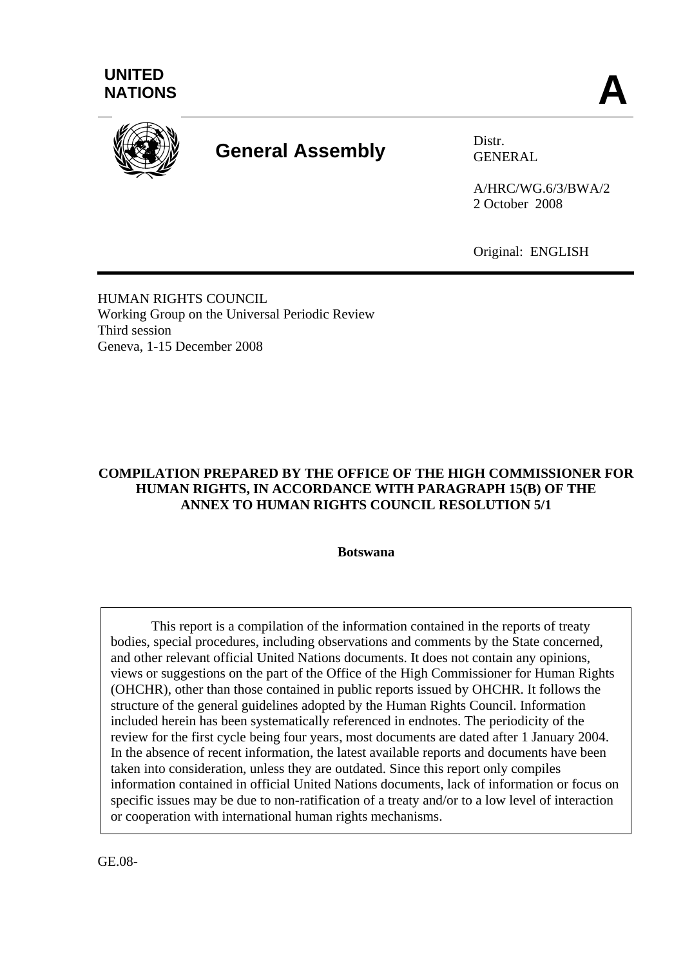



# **General Assembly** Distr.

GENERAL

A/HRC/WG.6/3/BWA/2 2 October 2008

Original: ENGLISH

HUMAN RIGHTS COUNCIL Working Group on the Universal Periodic Review Third session Geneva, 1-15 December 2008

# **COMPILATION PREPARED BY THE OFFICE OF THE HIGH COMMISSIONER FOR HUMAN RIGHTS, IN ACCORDANCE WITH PARAGRAPH 15(B) OF THE ANNEX TO HUMAN RIGHTS COUNCIL RESOLUTION 5/1**

**Botswana** 

 This report is a compilation of the information contained in the reports of treaty bodies, special procedures, including observations and comments by the State concerned, and other relevant official United Nations documents. It does not contain any opinions, views or suggestions on the part of the Office of the High Commissioner for Human Rights (OHCHR), other than those contained in public reports issued by OHCHR. It follows the structure of the general guidelines adopted by the Human Rights Council. Information included herein has been systematically referenced in endnotes. The periodicity of the review for the first cycle being four years, most documents are dated after 1 January 2004. In the absence of recent information, the latest available reports and documents have been taken into consideration, unless they are outdated. Since this report only compiles information contained in official United Nations documents, lack of information or focus on specific issues may be due to non-ratification of a treaty and/or to a low level of interaction or cooperation with international human rights mechanisms.

GE.08-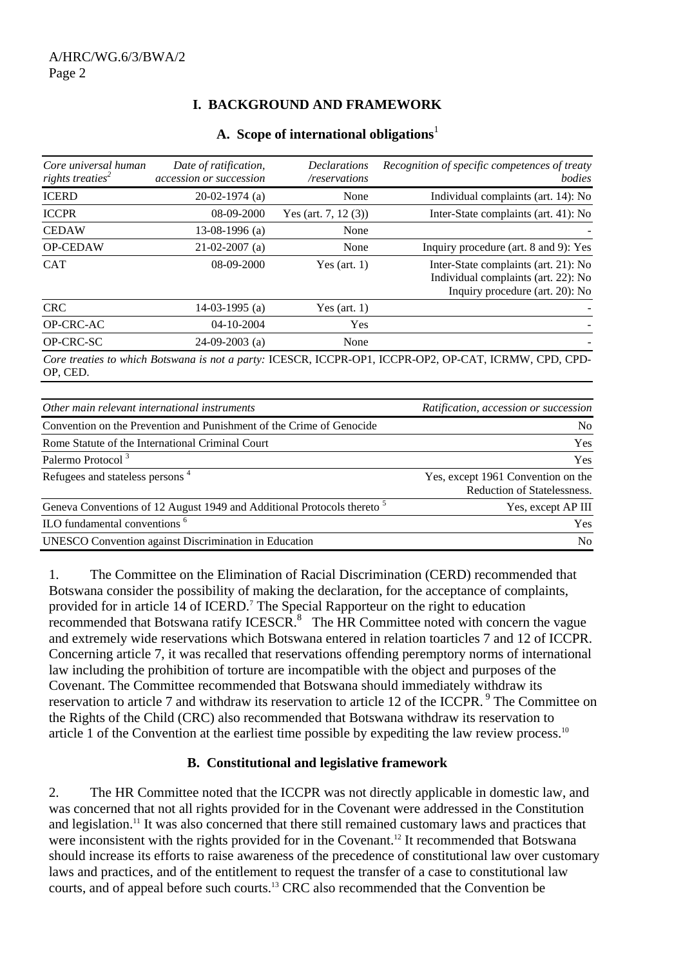# **I. BACKGROUND AND FRAMEWORK**

#### **A. Scope of international obligations**<sup>1</sup>

| Core universal human<br>rights treaties <sup>2</sup> | Date of ratification,<br>accession or succession                     | <i>Declarations</i><br>/reservations | Recognition of specific competences of treaty<br>bodies                                                        |
|------------------------------------------------------|----------------------------------------------------------------------|--------------------------------------|----------------------------------------------------------------------------------------------------------------|
| <b>ICERD</b>                                         | $20-02-1974$ (a)                                                     | None                                 | Individual complaints (art. 14): No                                                                            |
| <b>ICCPR</b>                                         | 08-09-2000                                                           | Yes (art. 7, 12 $(3)$ )              | Inter-State complaints (art. 41): No                                                                           |
| <b>CEDAW</b>                                         | 13-08-1996 $(a)$                                                     | None                                 |                                                                                                                |
| <b>OP-CEDAW</b>                                      | $21-02-2007$ (a)                                                     | None                                 | Inquiry procedure (art. 8 and 9): Yes                                                                          |
| <b>CAT</b>                                           | 08-09-2000                                                           | Yes (art. $1)$ )                     | Inter-State complaints (art. 21): No<br>Individual complaints (art. 22): No<br>Inquiry procedure (art. 20): No |
| <b>CRC</b>                                           | 14-03-1995 $(a)$                                                     | Yes (art. $1)$ )                     |                                                                                                                |
| OP-CRC-AC                                            | 04-10-2004                                                           | Yes                                  |                                                                                                                |
| OP-CRC-SC                                            | $24-09-2003$ (a)                                                     | None                                 |                                                                                                                |
| OP, CED.                                             |                                                                      |                                      | Core treaties to which Botswana is not a party: ICESCR, ICCPR-OP1, ICCPR-OP2, OP-CAT, ICRMW, CPD, CPD-         |
|                                                      | Other main relevant international instruments                        |                                      | Ratification, accession or succession                                                                          |
|                                                      | Convention on the Discontion and Dunishment of the Cuime of Canagida |                                      | $N_{\alpha}$                                                                                                   |

| <u>UME MAM LUEVAM MARTIAN MARTIA AND MARTIN</u>                                    | <i>Rangeamon, accession of succession</i>                         |
|------------------------------------------------------------------------------------|-------------------------------------------------------------------|
| Convention on the Prevention and Punishment of the Crime of Genocide               | N <sub>o</sub>                                                    |
| Rome Statute of the International Criminal Court                                   | <b>Yes</b>                                                        |
| Palermo Protocol <sup>3</sup>                                                      | Yes                                                               |
| Refugees and stateless persons <sup>4</sup>                                        | Yes, except 1961 Convention on the<br>Reduction of Statelessness. |
| Geneva Conventions of 12 August 1949 and Additional Protocols thereto <sup>5</sup> | Yes, except AP III                                                |
| ILO fundamental conventions <sup>6</sup>                                           | <b>Yes</b>                                                        |
| <b>UNESCO</b> Convention against Discrimination in Education                       | N <sub>0</sub>                                                    |
|                                                                                    |                                                                   |

1. The Committee on the Elimination of Racial Discrimination (CERD) recommended that Botswana consider the possibility of making the declaration, for the acceptance of complaints, provided for in article 14 of ICERD.<sup>7</sup> The Special Rapporteur on the right to education recommended that Botswana ratify ICESCR. $8$  The HR Committee noted with concern the vague and extremely wide reservations which Botswana entered in relation toarticles 7 and 12 of ICCPR. Concerning article 7, it was recalled that reservations offending peremptory norms of international law including the prohibition of torture are incompatible with the object and purposes of the Covenant. The Committee recommended that Botswana should immediately withdraw its reservation to article 7 and withdraw its reservation to article 12 of the ICCPR.<sup>9</sup> The Committee on the Rights of the Child (CRC) also recommended that Botswana withdraw its reservation to article 1 of the Convention at the earliest time possible by expediting the law review process.<sup>10</sup>

## **B. Constitutional and legislative framework**

2. The HR Committee noted that the ICCPR was not directly applicable in domestic law, and was concerned that not all rights provided for in the Covenant were addressed in the Constitution and legislation.<sup>11</sup> It was also concerned that there still remained customary laws and practices that were inconsistent with the rights provided for in the Covenant.<sup>12</sup> It recommended that Botswana should increase its efforts to raise awareness of the precedence of constitutional law over customary laws and practices, and of the entitlement to request the transfer of a case to constitutional law courts, and of appeal before such courts.13 CRC also recommended that the Convention be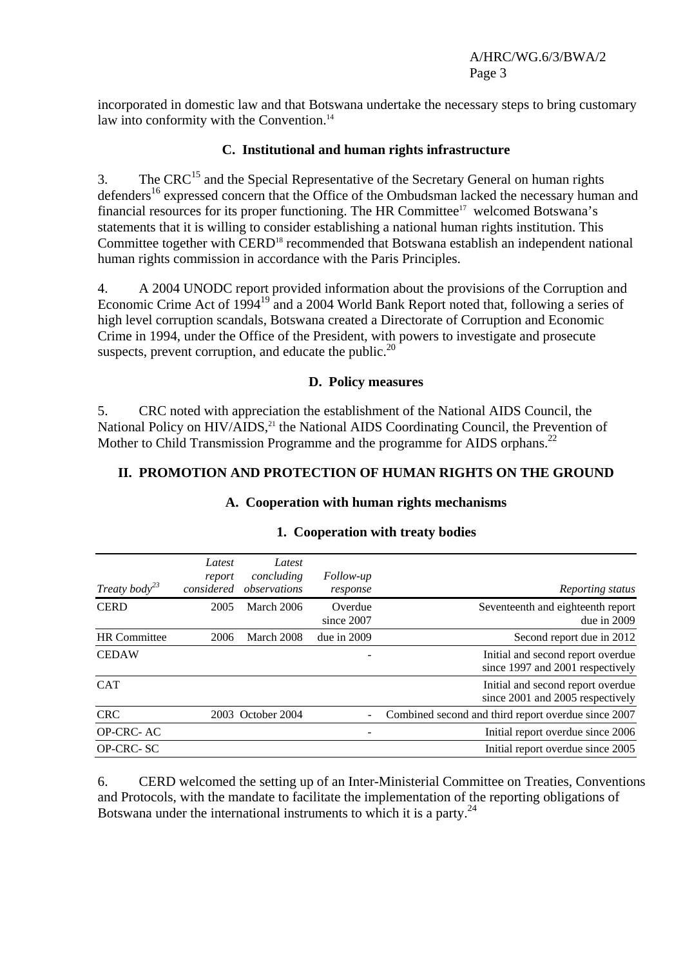incorporated in domestic law and that Botswana undertake the necessary steps to bring customary law into conformity with the Convention.<sup>14</sup>

#### **C. Institutional and human rights infrastructure**

3. The CRC<sup>15</sup> and the Special Representative of the Secretary General on human rights defenders<sup>16</sup> expressed concern that the Office of the Ombudsman lacked the necessary human and financial resources for its proper functioning. The HR Committee<sup>17</sup> welcomed Botswana's statements that it is willing to consider establishing a national human rights institution. This Committee together with CERD<sup>18</sup> recommended that Botswana establish an independent national human rights commission in accordance with the Paris Principles.

4. A 2004 UNODC report provided information about the provisions of the Corruption and Economic Crime Act of 1994<sup>19</sup> and a 2004 World Bank Report noted that, following a series of high level corruption scandals, Botswana created a Directorate of Corruption and Economic Crime in 1994, under the Office of the President, with powers to investigate and prosecute suspects, prevent corruption, and educate the public. $20$ 

#### **D. Policy measures**

5. CRC noted with appreciation the establishment of the National AIDS Council, the National Policy on HIV/AIDS,<sup>21</sup> the National AIDS Coordinating Council, the Prevention of Mother to Child Transmission Programme and the programme for AIDS orphans.<sup>22</sup>

#### **II. PROMOTION AND PROTECTION OF HUMAN RIGHTS ON THE GROUND**

**A. Cooperation with human rights mechanisms** 

| Treaty body <sup>23</sup> | Latest<br>report<br>considered | Latest<br>concluding<br>observations | Follow-up<br>response | Reporting status                                                      |
|---------------------------|--------------------------------|--------------------------------------|-----------------------|-----------------------------------------------------------------------|
| <b>CERD</b>               | 2005                           | March 2006                           | Overdue<br>since 2007 | Seventeenth and eighteenth report<br>due in $2009$                    |
| <b>HR</b> Committee       | 2006                           | March 2008                           | due in $2009$         | Second report due in 2012                                             |
| <b>CEDAW</b>              |                                |                                      |                       | Initial and second report overdue<br>since 1997 and 2001 respectively |
| <b>CAT</b>                |                                |                                      |                       | Initial and second report overdue<br>since 2001 and 2005 respectively |
| <b>CRC</b>                |                                | 2003 October 2004                    |                       | Combined second and third report overdue since 2007                   |
| OP-CRC-AC                 |                                |                                      |                       | Initial report overdue since 2006                                     |
| OP-CRC-SC                 |                                |                                      |                       | Initial report overdue since 2005                                     |

#### **1. Cooperation with treaty bodies**

6. CERD welcomed the setting up of an Inter-Ministerial Committee on Treaties, Conventions and Protocols, with the mandate to facilitate the implementation of the reporting obligations of Botswana under the international instruments to which it is a party. $^{24}$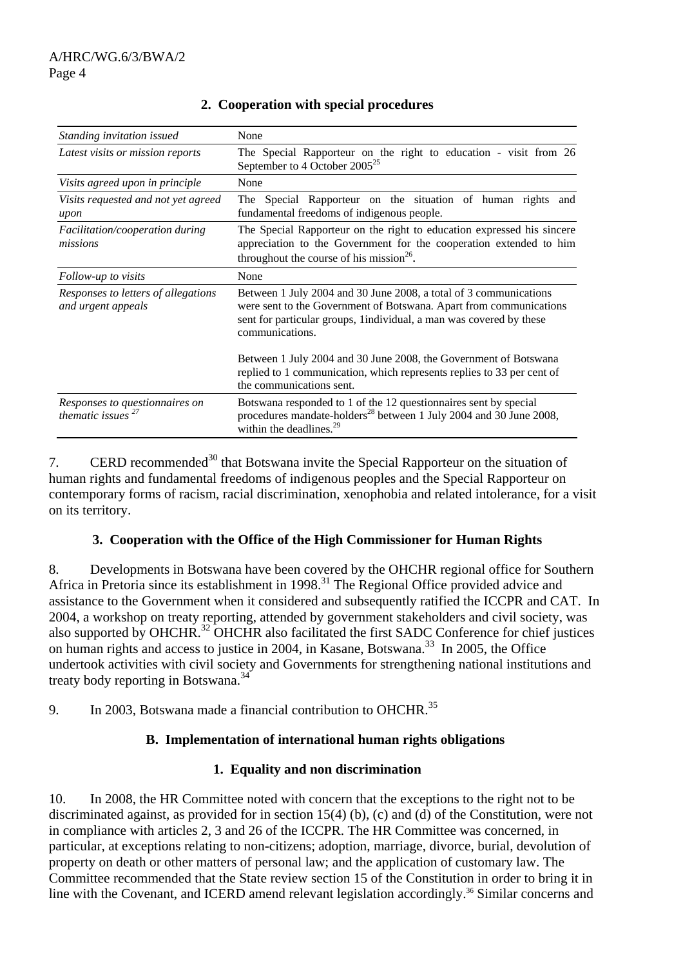| Standing invitation issued                                | None                                                                                                                                                                                                                              |
|-----------------------------------------------------------|-----------------------------------------------------------------------------------------------------------------------------------------------------------------------------------------------------------------------------------|
| Latest visits or mission reports                          | The Special Rapporteur on the right to education - visit from 26<br>September to 4 October $2005^{25}$                                                                                                                            |
| Visits agreed upon in principle                           | None                                                                                                                                                                                                                              |
| Visits requested and not yet agreed<br>upon               | The Special Rapporteur on the situation of human rights<br>and<br>fundamental freedoms of indigenous people.                                                                                                                      |
| Facilitation/cooperation during<br>missions               | The Special Rapporteur on the right to education expressed his sincere<br>appreciation to the Government for the cooperation extended to him<br>throughout the course of his mission <sup>26</sup> .                              |
| Follow-up to visits                                       | None                                                                                                                                                                                                                              |
| Responses to letters of allegations<br>and urgent appeals | Between 1 July 2004 and 30 June 2008, a total of 3 communications<br>were sent to the Government of Botswana. Apart from communications<br>sent for particular groups, 1individual, a man was covered by these<br>communications. |
|                                                           | Between 1 July 2004 and 30 June 2008, the Government of Botswana<br>replied to 1 communication, which represents replies to 33 per cent of<br>the communications sent.                                                            |
| Responses to questionnaires on<br>thematic issues $27$    | Botswana responded to 1 of the 12 questionnaires sent by special<br>procedures mandate-holders <sup>28</sup> between 1 July 2004 and 30 June 2008,<br>within the deadlines. $29$                                                  |

# **2. Cooperation with special procedures**

7. CERD recommended<sup>30</sup> that Botswana invite the Special Rapporteur on the situation of human rights and fundamental freedoms of indigenous peoples and the Special Rapporteur on contemporary forms of racism, racial discrimination, xenophobia and related intolerance, for a visit on its territory.

## **3. Cooperation with the Office of the High Commissioner for Human Rights**

8. Developments in Botswana have been covered by the OHCHR regional office for Southern Africa in Pretoria since its establishment in 1998.<sup>31</sup> The Regional Office provided advice and assistance to the Government when it considered and subsequently ratified the ICCPR and CAT. In 2004, a workshop on treaty reporting, attended by government stakeholders and civil society, was also supported by OHCHR.32 OHCHR also facilitated the first SADC Conference for chief justices on human rights and access to justice in 2004, in Kasane, Botswana.<sup>33</sup> In 2005, the Office undertook activities with civil society and Governments for strengthening national institutions and treaty body reporting in Botswana.<sup>34</sup>

9. In 2003, Botswana made a financial contribution to OHCHR.<sup>35</sup>

## **B. Implementation of international human rights obligations**

## **1. Equality and non discrimination**

10. In 2008, the HR Committee noted with concern that the exceptions to the right not to be discriminated against, as provided for in section 15(4) (b), (c) and (d) of the Constitution, were not in compliance with articles 2, 3 and 26 of the ICCPR. The HR Committee was concerned, in particular, at exceptions relating to non-citizens; adoption, marriage, divorce, burial, devolution of property on death or other matters of personal law; and the application of customary law. The Committee recommended that the State review section 15 of the Constitution in order to bring it in line with the Covenant, and ICERD amend relevant legislation accordingly.<sup>36</sup> Similar concerns and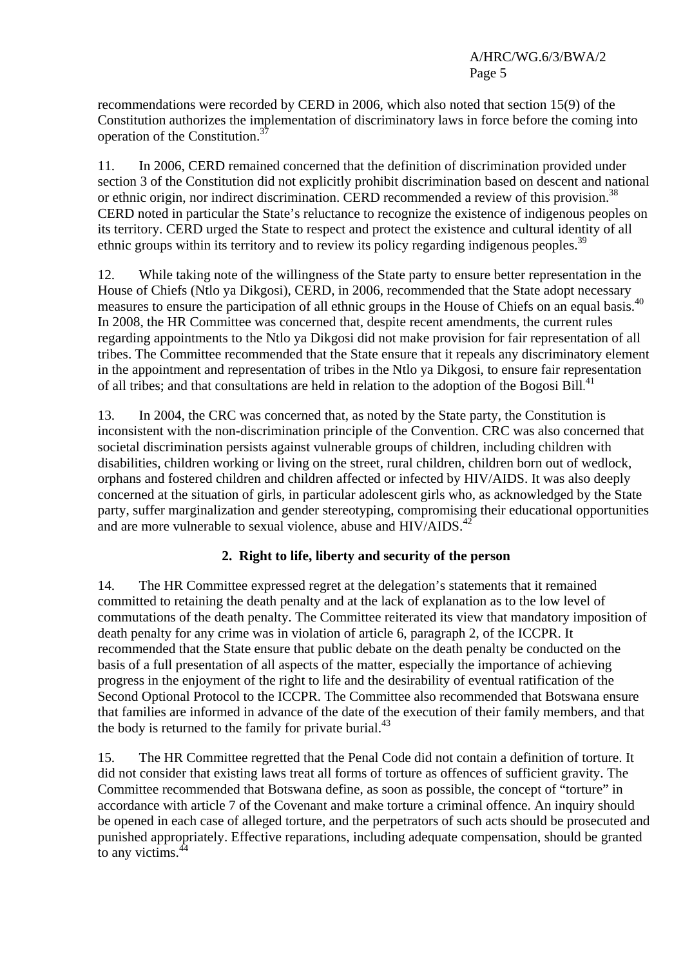recommendations were recorded by CERD in 2006, which also noted that section 15(9) of the Constitution authorizes the implementation of discriminatory laws in force before the coming into operation of the Constitution.<sup>3</sup>

11. In 2006, CERD remained concerned that the definition of discrimination provided under section 3 of the Constitution did not explicitly prohibit discrimination based on descent and national or ethnic origin, nor indirect discrimination. CERD recommended a review of this provision.<sup>38</sup> CERD noted in particular the State's reluctance to recognize the existence of indigenous peoples on its territory. CERD urged the State to respect and protect the existence and cultural identity of all ethnic groups within its territory and to review its policy regarding indigenous peoples.<sup>39</sup>

12. While taking note of the willingness of the State party to ensure better representation in the House of Chiefs (Ntlo ya Dikgosi), CERD, in 2006, recommended that the State adopt necessary measures to ensure the participation of all ethnic groups in the House of Chiefs on an equal basis.<sup>40</sup> In 2008, the HR Committee was concerned that, despite recent amendments, the current rules regarding appointments to the Ntlo ya Dikgosi did not make provision for fair representation of all tribes. The Committee recommended that the State ensure that it repeals any discriminatory element in the appointment and representation of tribes in the Ntlo ya Dikgosi, to ensure fair representation of all tribes; and that consultations are held in relation to the adoption of the Bogosi Bill.<sup>41</sup>

13. In 2004, the CRC was concerned that, as noted by the State party, the Constitution is inconsistent with the non-discrimination principle of the Convention. CRC was also concerned that societal discrimination persists against vulnerable groups of children, including children with disabilities, children working or living on the street, rural children, children born out of wedlock, orphans and fostered children and children affected or infected by HIV/AIDS. It was also deeply concerned at the situation of girls, in particular adolescent girls who, as acknowledged by the State party, suffer marginalization and gender stereotyping, compromising their educational opportunities and are more vulnerable to sexual violence, abuse and  $HIV/ALDS$ <sup>42</sup>

# **2. Right to life, liberty and security of the person**

14. The HR Committee expressed regret at the delegation's statements that it remained committed to retaining the death penalty and at the lack of explanation as to the low level of commutations of the death penalty. The Committee reiterated its view that mandatory imposition of death penalty for any crime was in violation of article 6, paragraph 2, of the ICCPR. It recommended that the State ensure that public debate on the death penalty be conducted on the basis of a full presentation of all aspects of the matter, especially the importance of achieving progress in the enjoyment of the right to life and the desirability of eventual ratification of the Second Optional Protocol to the ICCPR. The Committee also recommended that Botswana ensure that families are informed in advance of the date of the execution of their family members, and that the body is returned to the family for private burial. $^{43}$ 

15. The HR Committee regretted that the Penal Code did not contain a definition of torture. It did not consider that existing laws treat all forms of torture as offences of sufficient gravity. The Committee recommended that Botswana define, as soon as possible, the concept of "torture" in accordance with article 7 of the Covenant and make torture a criminal offence. An inquiry should be opened in each case of alleged torture, and the perpetrators of such acts should be prosecuted and punished appropriately. Effective reparations, including adequate compensation, should be granted to any victims.44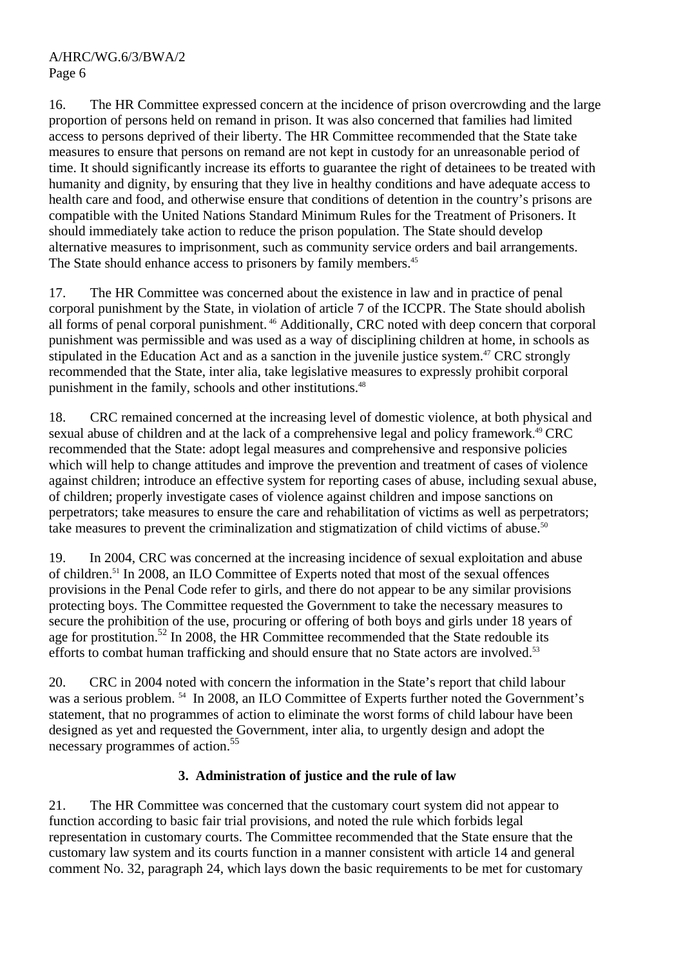16. The HR Committee expressed concern at the incidence of prison overcrowding and the large proportion of persons held on remand in prison. It was also concerned that families had limited access to persons deprived of their liberty. The HR Committee recommended that the State take measures to ensure that persons on remand are not kept in custody for an unreasonable period of time. It should significantly increase its efforts to guarantee the right of detainees to be treated with humanity and dignity, by ensuring that they live in healthy conditions and have adequate access to health care and food, and otherwise ensure that conditions of detention in the country's prisons are compatible with the United Nations Standard Minimum Rules for the Treatment of Prisoners. It should immediately take action to reduce the prison population. The State should develop alternative measures to imprisonment, such as community service orders and bail arrangements. The State should enhance access to prisoners by family members.<sup>45</sup>

17. The HR Committee was concerned about the existence in law and in practice of penal corporal punishment by the State, in violation of article 7 of the ICCPR. The State should abolish all forms of penal corporal punishment. 46 Additionally, CRC noted with deep concern that corporal punishment was permissible and was used as a way of disciplining children at home, in schools as stipulated in the Education Act and as a sanction in the juvenile justice system.<sup>47</sup> CRC strongly recommended that the State, inter alia, take legislative measures to expressly prohibit corporal punishment in the family, schools and other institutions.48

18. CRC remained concerned at the increasing level of domestic violence, at both physical and sexual abuse of children and at the lack of a comprehensive legal and policy framework.<sup>49</sup> CRC recommended that the State: adopt legal measures and comprehensive and responsive policies which will help to change attitudes and improve the prevention and treatment of cases of violence against children; introduce an effective system for reporting cases of abuse, including sexual abuse, of children; properly investigate cases of violence against children and impose sanctions on perpetrators; take measures to ensure the care and rehabilitation of victims as well as perpetrators; take measures to prevent the criminalization and stigmatization of child victims of abuse.<sup>50</sup>

19. In 2004, CRC was concerned at the increasing incidence of sexual exploitation and abuse of children.51 In 2008, an ILO Committee of Experts noted that most of the sexual offences provisions in the Penal Code refer to girls, and there do not appear to be any similar provisions protecting boys. The Committee requested the Government to take the necessary measures to secure the prohibition of the use, procuring or offering of both boys and girls under 18 years of age for prostitution.<sup>52</sup> In 2008, the HR Committee recommended that the State redouble its efforts to combat human trafficking and should ensure that no State actors are involved.<sup>53</sup>

20. CRC in 2004 noted with concern the information in the State's report that child labour was a serious problem. <sup>54</sup> In 2008, an ILO Committee of Experts further noted the Government's statement, that no programmes of action to eliminate the worst forms of child labour have been designed as yet and requested the Government, inter alia, to urgently design and adopt the necessary programmes of action.<sup>55</sup>

# **3. Administration of justice and the rule of law**

21. The HR Committee was concerned that the customary court system did not appear to function according to basic fair trial provisions, and noted the rule which forbids legal representation in customary courts. The Committee recommended that the State ensure that the customary law system and its courts function in a manner consistent with article 14 and general comment No. 32, paragraph 24, which lays down the basic requirements to be met for customary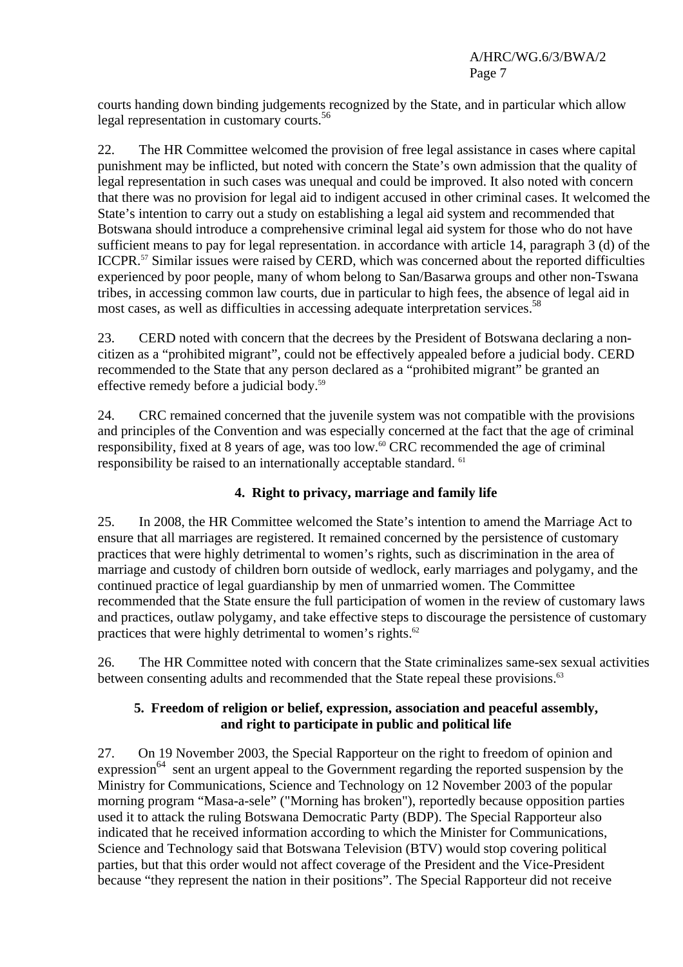courts handing down binding judgements recognized by the State, and in particular which allow legal representation in customary courts.<sup>56</sup>

22. The HR Committee welcomed the provision of free legal assistance in cases where capital punishment may be inflicted, but noted with concern the State's own admission that the quality of legal representation in such cases was unequal and could be improved. It also noted with concern that there was no provision for legal aid to indigent accused in other criminal cases. It welcomed the State's intention to carry out a study on establishing a legal aid system and recommended that Botswana should introduce a comprehensive criminal legal aid system for those who do not have sufficient means to pay for legal representation. in accordance with article 14, paragraph 3 (d) of the ICCPR.57 Similar issues were raised by CERD, which was concerned about the reported difficulties experienced by poor people, many of whom belong to San/Basarwa groups and other non-Tswana tribes, in accessing common law courts, due in particular to high fees, the absence of legal aid in most cases, as well as difficulties in accessing adequate interpretation services.<sup>58</sup>

23. CERD noted with concern that the decrees by the President of Botswana declaring a noncitizen as a "prohibited migrant", could not be effectively appealed before a judicial body. CERD recommended to the State that any person declared as a "prohibited migrant" be granted an effective remedy before a judicial body.59

24. CRC remained concerned that the juvenile system was not compatible with the provisions and principles of the Convention and was especially concerned at the fact that the age of criminal responsibility, fixed at 8 years of age, was too low.<sup>60</sup> CRC recommended the age of criminal responsibility be raised to an internationally acceptable standard. 61

# **4. Right to privacy, marriage and family life**

25. In 2008, the HR Committee welcomed the State's intention to amend the Marriage Act to ensure that all marriages are registered. It remained concerned by the persistence of customary practices that were highly detrimental to women's rights, such as discrimination in the area of marriage and custody of children born outside of wedlock, early marriages and polygamy, and the continued practice of legal guardianship by men of unmarried women. The Committee recommended that the State ensure the full participation of women in the review of customary laws and practices, outlaw polygamy, and take effective steps to discourage the persistence of customary practices that were highly detrimental to women's rights. $62$ 

26. The HR Committee noted with concern that the State criminalizes same-sex sexual activities between consenting adults and recommended that the State repeal these provisions.<sup>63</sup>

## **5. Freedom of religion or belief, expression, association and peaceful assembly, and right to participate in public and political life**

27. On 19 November 2003, the Special Rapporteur on the right to freedom of opinion and expression<sup>64</sup> sent an urgent appeal to the Government regarding the reported suspension by the Ministry for Communications, Science and Technology on 12 November 2003 of the popular morning program "Masa-a-sele" ("Morning has broken"), reportedly because opposition parties used it to attack the ruling Botswana Democratic Party (BDP). The Special Rapporteur also indicated that he received information according to which the Minister for Communications, Science and Technology said that Botswana Television (BTV) would stop covering political parties, but that this order would not affect coverage of the President and the Vice-President because "they represent the nation in their positions". The Special Rapporteur did not receive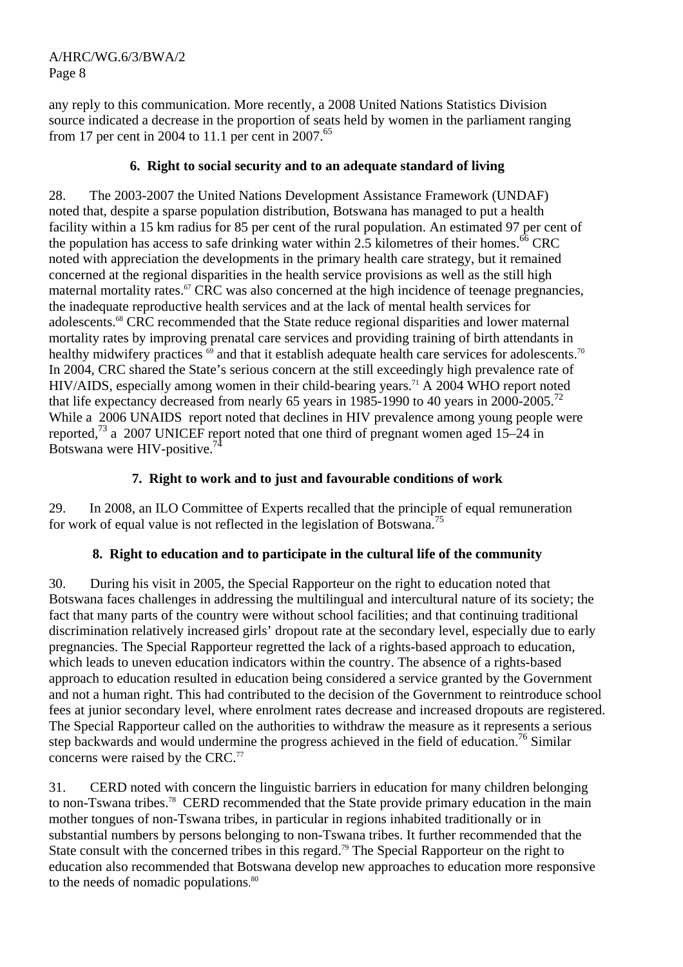any reply to this communication. More recently, a 2008 United Nations Statistics Division source indicated a decrease in the proportion of seats held by women in the parliament ranging from 17 per cent in 2004 to 11.1 per cent in 2007. $65$ 

# **6. Right to social security and to an adequate standard of living**

28. The 2003-2007 the United Nations Development Assistance Framework (UNDAF) noted that, despite a sparse population distribution, Botswana has managed to put a health facility within a 15 km radius for 85 per cent of the rural population. An estimated 97 per cent of the population has access to safe drinking water within  $2.5$  kilometres of their homes.<sup>66</sup> CRC noted with appreciation the developments in the primary health care strategy, but it remained concerned at the regional disparities in the health service provisions as well as the still high maternal mortality rates.<sup>67</sup> CRC was also concerned at the high incidence of teenage pregnancies, the inadequate reproductive health services and at the lack of mental health services for adolescents.68 CRC recommended that the State reduce regional disparities and lower maternal mortality rates by improving prenatal care services and providing training of birth attendants in healthy midwifery practices <sup>69</sup> and that it establish adequate health care services for adolescents.<sup>70</sup> In 2004, CRC shared the State's serious concern at the still exceedingly high prevalence rate of HIV/AIDS, especially among women in their child-bearing years.<sup>71</sup> A 2004 WHO report noted that life expectancy decreased from nearly 65 years in 1985-1990 to 40 years in 2000-2005.<sup>72</sup> While a 2006 UNAIDS report noted that declines in HIV prevalence among young people were reported,<sup>73</sup> a 2007 UNICEF report noted that one third of pregnant women aged 15–24 in Botswana were HIV-positive.74

## **7. Right to work and to just and favourable conditions of work**

29. In 2008, an ILO Committee of Experts recalled that the principle of equal remuneration for work of equal value is not reflected in the legislation of Botswana.75

# **8. Right to education and to participate in the cultural life of the community**

30. During his visit in 2005, the Special Rapporteur on the right to education noted that Botswana faces challenges in addressing the multilingual and intercultural nature of its society; the fact that many parts of the country were without school facilities; and that continuing traditional discrimination relatively increased girls' dropout rate at the secondary level, especially due to early pregnancies. The Special Rapporteur regretted the lack of a rights-based approach to education, which leads to uneven education indicators within the country. The absence of a rights-based approach to education resulted in education being considered a service granted by the Government and not a human right. This had contributed to the decision of the Government to reintroduce school fees at junior secondary level, where enrolment rates decrease and increased dropouts are registered. The Special Rapporteur called on the authorities to withdraw the measure as it represents a serious step backwards and would undermine the progress achieved in the field of education.<sup>76</sup> Similar concerns were raised by the CRC. $<sup>77</sup>$ </sup>

31. CERD noted with concern the linguistic barriers in education for many children belonging to non-Tswana tribes.<sup>78</sup> CERD recommended that the State provide primary education in the main mother tongues of non-Tswana tribes, in particular in regions inhabited traditionally or in substantial numbers by persons belonging to non-Tswana tribes. It further recommended that the State consult with the concerned tribes in this regard.<sup>79</sup> The Special Rapporteur on the right to education also recommended that Botswana develop new approaches to education more responsive to the needs of nomadic populations.<sup>80</sup>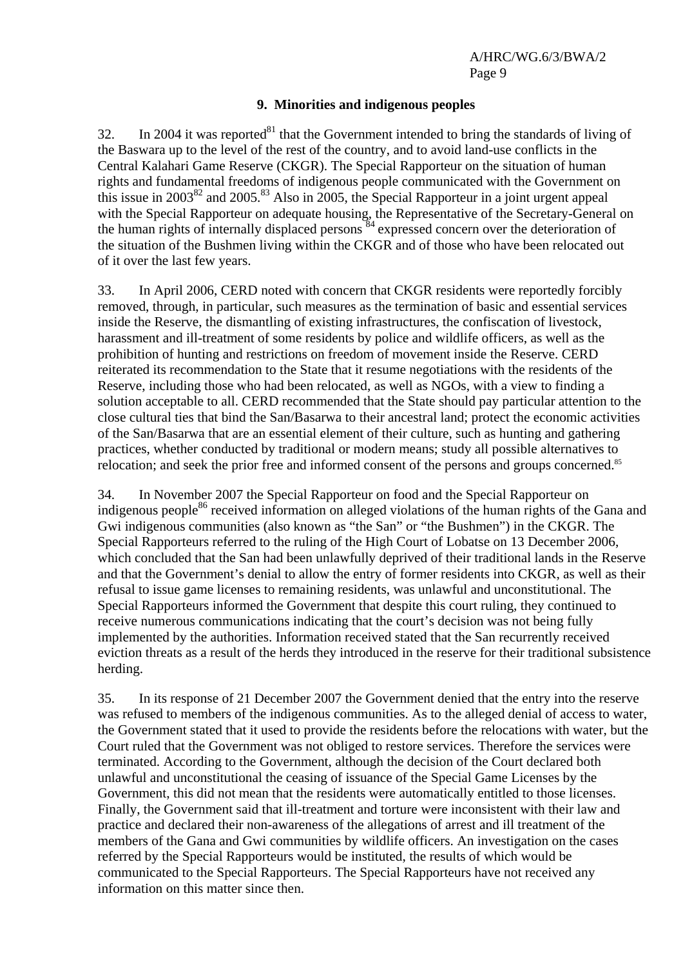#### **9. Minorities and indigenous peoples**

32. In 2004 it was reported<sup>81</sup> that the Government intended to bring the standards of living of the Baswara up to the level of the rest of the country, and to avoid land-use conflicts in the Central Kalahari Game Reserve (CKGR). The Special Rapporteur on the situation of human rights and fundamental freedoms of indigenous people communicated with the Government on this issue in  $2003^{82}$  and  $2005.^{83}$  Also in 2005, the Special Rapporteur in a joint urgent appeal with the Special Rapporteur on adequate housing, the Representative of the Secretary-General on the human rights of internally displaced persons <sup>84</sup> expressed concern over the deterioration of the situation of the Bushmen living within the CKGR and of those who have been relocated out of it over the last few years.

33. In April 2006, CERD noted with concern that CKGR residents were reportedly forcibly removed, through, in particular, such measures as the termination of basic and essential services inside the Reserve, the dismantling of existing infrastructures, the confiscation of livestock, harassment and ill-treatment of some residents by police and wildlife officers, as well as the prohibition of hunting and restrictions on freedom of movement inside the Reserve. CERD reiterated its recommendation to the State that it resume negotiations with the residents of the Reserve, including those who had been relocated, as well as NGOs, with a view to finding a solution acceptable to all. CERD recommended that the State should pay particular attention to the close cultural ties that bind the San/Basarwa to their ancestral land; protect the economic activities of the San/Basarwa that are an essential element of their culture, such as hunting and gathering practices, whether conducted by traditional or modern means; study all possible alternatives to relocation; and seek the prior free and informed consent of the persons and groups concerned.<sup>85</sup>

34. In November 2007 the Special Rapporteur on food and the Special Rapporteur on indigenous people<sup>86</sup> received information on alleged violations of the human rights of the Gana and Gwi indigenous communities (also known as "the San" or "the Bushmen") in the CKGR. The Special Rapporteurs referred to the ruling of the High Court of Lobatse on 13 December 2006, which concluded that the San had been unlawfully deprived of their traditional lands in the Reserve and that the Government's denial to allow the entry of former residents into CKGR, as well as their refusal to issue game licenses to remaining residents, was unlawful and unconstitutional. The Special Rapporteurs informed the Government that despite this court ruling, they continued to receive numerous communications indicating that the court's decision was not being fully implemented by the authorities. Information received stated that the San recurrently received eviction threats as a result of the herds they introduced in the reserve for their traditional subsistence herding.

35. In its response of 21 December 2007 the Government denied that the entry into the reserve was refused to members of the indigenous communities. As to the alleged denial of access to water, the Government stated that it used to provide the residents before the relocations with water, but the Court ruled that the Government was not obliged to restore services. Therefore the services were terminated. According to the Government, although the decision of the Court declared both unlawful and unconstitutional the ceasing of issuance of the Special Game Licenses by the Government, this did not mean that the residents were automatically entitled to those licenses. Finally, the Government said that ill-treatment and torture were inconsistent with their law and practice and declared their non-awareness of the allegations of arrest and ill treatment of the members of the Gana and Gwi communities by wildlife officers. An investigation on the cases referred by the Special Rapporteurs would be instituted, the results of which would be communicated to the Special Rapporteurs. The Special Rapporteurs have not received any information on this matter since then.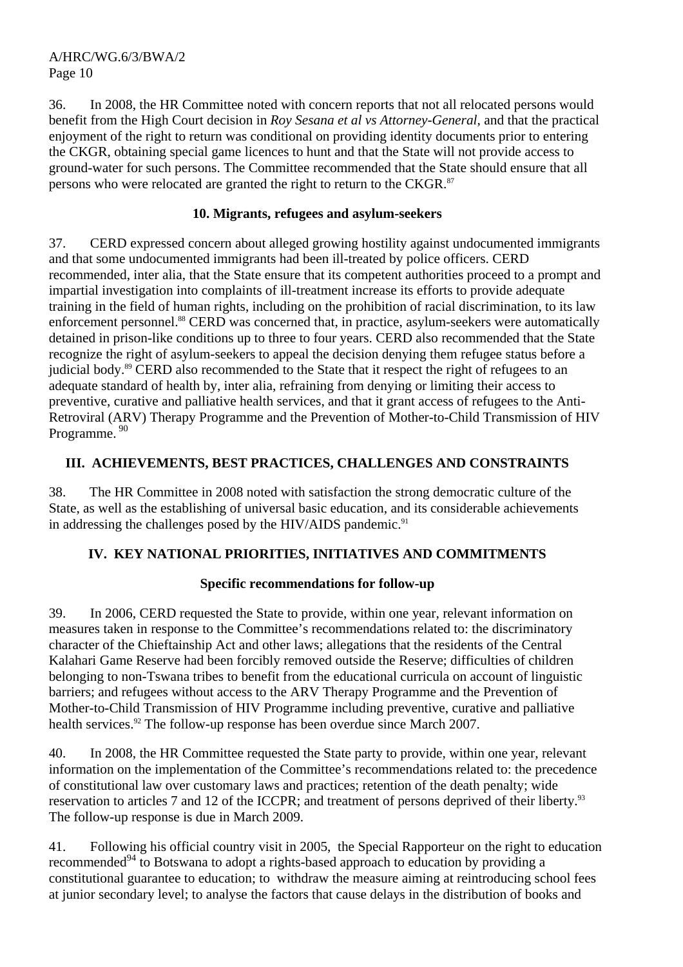36. In 2008, the HR Committee noted with concern reports that not all relocated persons would benefit from the High Court decision in *Roy Sesana et al vs Attorney-General*, and that the practical enjoyment of the right to return was conditional on providing identity documents prior to entering the CKGR, obtaining special game licences to hunt and that the State will not provide access to ground-water for such persons. The Committee recommended that the State should ensure that all persons who were relocated are granted the right to return to the CKGR.<sup>87</sup>

## **10. Migrants, refugees and asylum-seekers**

37. CERD expressed concern about alleged growing hostility against undocumented immigrants and that some undocumented immigrants had been ill-treated by police officers. CERD recommended, inter alia, that the State ensure that its competent authorities proceed to a prompt and impartial investigation into complaints of ill-treatment increase its efforts to provide adequate training in the field of human rights, including on the prohibition of racial discrimination, to its law enforcement personnel.<sup>88</sup> CERD was concerned that, in practice, asylum-seekers were automatically detained in prison-like conditions up to three to four years. CERD also recommended that the State recognize the right of asylum-seekers to appeal the decision denying them refugee status before a judicial body.<sup>89</sup> CERD also recommended to the State that it respect the right of refugees to an adequate standard of health by, inter alia, refraining from denying or limiting their access to preventive, curative and palliative health services, and that it grant access of refugees to the Anti-Retroviral (ARV) Therapy Programme and the Prevention of Mother-to-Child Transmission of HIV Programme.<sup>90</sup>

## **III. ACHIEVEMENTS, BEST PRACTICES, CHALLENGES AND CONSTRAINTS**

38. The HR Committee in 2008 noted with satisfaction the strong democratic culture of the State, as well as the establishing of universal basic education, and its considerable achievements in addressing the challenges posed by the HIV/AIDS pandemic.<sup>91</sup>

# **IV. KEY NATIONAL PRIORITIES, INITIATIVES AND COMMITMENTS**

## **Specific recommendations for follow-up**

39. In 2006, CERD requested the State to provide, within one year, relevant information on measures taken in response to the Committee's recommendations related to: the discriminatory character of the Chieftainship Act and other laws; allegations that the residents of the Central Kalahari Game Reserve had been forcibly removed outside the Reserve; difficulties of children belonging to non-Tswana tribes to benefit from the educational curricula on account of linguistic barriers; and refugees without access to the ARV Therapy Programme and the Prevention of Mother-to-Child Transmission of HIV Programme including preventive, curative and palliative health services.<sup>92</sup> The follow-up response has been overdue since March 2007.

40. In 2008, the HR Committee requested the State party to provide, within one year, relevant information on the implementation of the Committee's recommendations related to: the precedence of constitutional law over customary laws and practices; retention of the death penalty; wide reservation to articles 7 and 12 of the ICCPR; and treatment of persons deprived of their liberty.<sup>93</sup> The follow-up response is due in March 2009.

41. Following his official country visit in 2005, the Special Rapporteur on the right to education recommended<sup>94</sup> to Botswana to adopt a rights-based approach to education by providing a constitutional guarantee to education; to withdraw the measure aiming at reintroducing school fees at junior secondary level; to analyse the factors that cause delays in the distribution of books and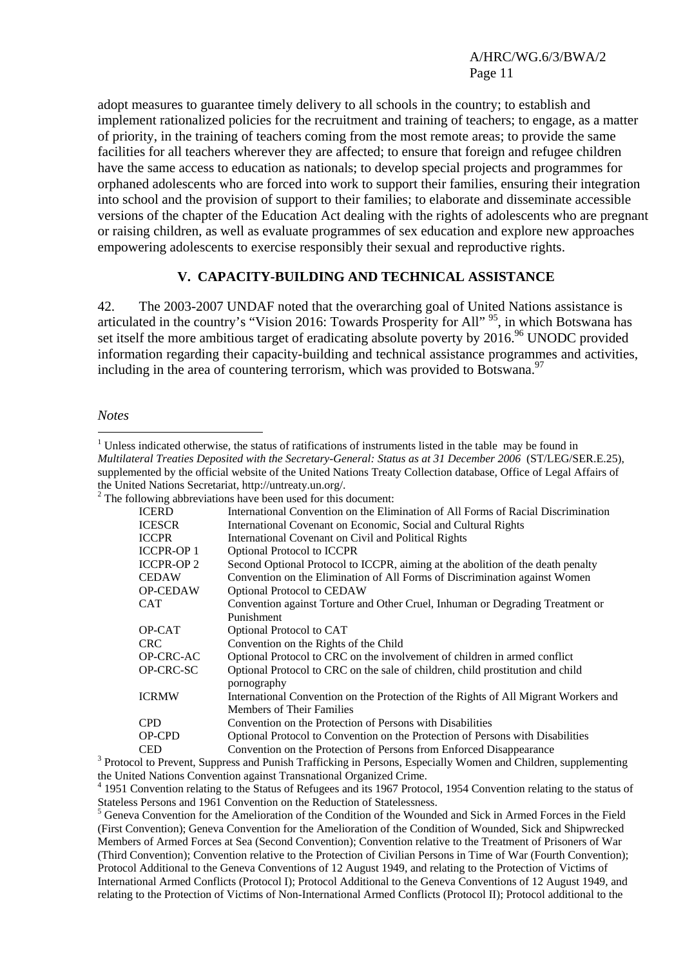adopt measures to guarantee timely delivery to all schools in the country; to establish and implement rationalized policies for the recruitment and training of teachers; to engage, as a matter of priority, in the training of teachers coming from the most remote areas; to provide the same facilities for all teachers wherever they are affected; to ensure that foreign and refugee children have the same access to education as nationals; to develop special projects and programmes for orphaned adolescents who are forced into work to support their families, ensuring their integration into school and the provision of support to their families; to elaborate and disseminate accessible versions of the chapter of the Education Act dealing with the rights of adolescents who are pregnant or raising children, as well as evaluate programmes of sex education and explore new approaches empowering adolescents to exercise responsibly their sexual and reproductive rights.

## **V. CAPACITY-BUILDING AND TECHNICAL ASSISTANCE**

42. The 2003-2007 UNDAF noted that the overarching goal of United Nations assistance is articulated in the country's "Vision 2016: Towards Prosperity for All"<sup>95</sup>, in which Botswana has set itself the more ambitious target of eradicating absolute poverty by  $2016$ .<sup>96</sup> UNODC provided information regarding their capacity-building and technical assistance programmes and activities, including in the area of countering terrorism, which was provided to Botswana.<sup>97</sup>

*Notes* 

 $\overline{a}$ <sup>1</sup> Unless indicated otherwise, the status of ratifications of instruments listed in the table may be found in *Multilateral Treaties Deposited with the Secretary-General: Status as at 31 December 2006* (ST/LEG/SER.E.25), supplemented by the official website of the United Nations Treaty Collection database, Office of Legal Affairs of the United Nations Secretariat, http://untreaty.un.org/. 2  $2^2$  The following abbreviations have been used for this document:

|                  | THE TOHOWING ADDITIONATIONS HAVE DEEN USED TOT THIS GOCUMENT.                                                              |
|------------------|----------------------------------------------------------------------------------------------------------------------------|
| <b>ICERD</b>     | International Convention on the Elimination of All Forms of Racial Discrimination                                          |
| <b>ICESCR</b>    | International Covenant on Economic, Social and Cultural Rights                                                             |
| <b>ICCPR</b>     | International Covenant on Civil and Political Rights                                                                       |
| <b>ICCPR-OP1</b> | <b>Optional Protocol to ICCPR</b>                                                                                          |
| <b>ICCPR-OP2</b> | Second Optional Protocol to ICCPR, aiming at the abolition of the death penalty                                            |
| <b>CEDAW</b>     | Convention on the Elimination of All Forms of Discrimination against Women                                                 |
| <b>OP-CEDAW</b>  | <b>Optional Protocol to CEDAW</b>                                                                                          |
| <b>CAT</b>       | Convention against Torture and Other Cruel, Inhuman or Degrading Treatment or                                              |
|                  | Punishment                                                                                                                 |
| OP-CAT           | Optional Protocol to CAT                                                                                                   |
| <b>CRC</b>       | Convention on the Rights of the Child                                                                                      |
| OP-CRC-AC        | Optional Protocol to CRC on the involvement of children in armed conflict                                                  |
| OP-CRC-SC        | Optional Protocol to CRC on the sale of children, child prostitution and child                                             |
|                  | pornography                                                                                                                |
| <b>ICRMW</b>     | International Convention on the Protection of the Rights of All Migrant Workers and                                        |
|                  | <b>Members of Their Families</b>                                                                                           |
| <b>CPD</b>       | Convention on the Protection of Persons with Disabilities                                                                  |
| OP-CPD           | Optional Protocol to Convention on the Protection of Persons with Disabilities                                             |
| <b>CED</b>       | Convention on the Protection of Persons from Enforced Disappearance                                                        |
|                  | <sup>3</sup> Protocol to Prevent, Suppress and Punish Trafficking in Persons, Especially Women and Children, supplementing |

the United Nations Convention against Transnational Organized Crime.

<sup>4</sup> 1951 Convention relating to the Status of Refugees and its 1967 Protocol, 1954 Convention relating to the status of Stateless Persons and 1961 Convention on the Reduction of Statelessness.

<sup>5</sup> Geneva Convention for the Amelioration of the Condition of the Wounded and Sick in Armed Forces in the Field (First Convention); Geneva Convention for the Amelioration of the Condition of Wounded, Sick and Shipwrecked Members of Armed Forces at Sea (Second Convention); Convention relative to the Treatment of Prisoners of War (Third Convention); Convention relative to the Protection of Civilian Persons in Time of War (Fourth Convention); Protocol Additional to the Geneva Conventions of 12 August 1949, and relating to the Protection of Victims of International Armed Conflicts (Protocol I); Protocol Additional to the Geneva Conventions of 12 August 1949, and relating to the Protection of Victims of Non-International Armed Conflicts (Protocol II); Protocol additional to the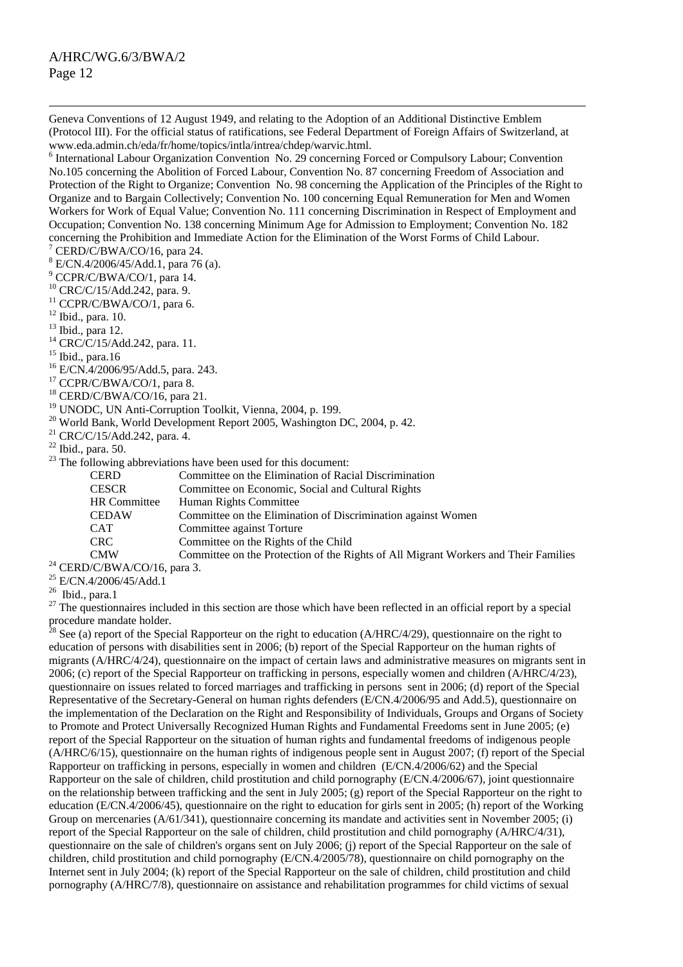Geneva Conventions of 12 August 1949, and relating to the Adoption of an Additional Distinctive Emblem (Protocol III). For the official status of ratifications, see Federal Department of Foreign Affairs of Switzerland, at www.eda.admin.ch/eda/fr/home/topics/intla/intrea/chdep/warvic.html. 6

<sup>6</sup> International Labour Organization Convention No. 29 concerning Forced or Compulsory Labour; Convention No.105 concerning the Abolition of Forced Labour, Convention No. 87 concerning Freedom of Association and Protection of the Right to Organize; Convention No. 98 concerning the Application of the Principles of the Right to Organize and to Bargain Collectively; Convention No. 100 concerning Equal Remuneration for Men and Women Workers for Work of Equal Value; Convention No. 111 concerning Discrimination in Respect of Employment and Occupation; Convention No. 138 concerning Minimum Age for Admission to Employment; Convention No. 182 concerning the Prohibition and Immediate Action for the Elimination of the Worst Forms of Child Labour.<br>  $\frac{7}{2}$ CEPD/C/PWA/CO/16, pars 24

- 8 E/CN.4/2006/45/Add.1, para 76 (a).
- 9 CCPR/C/BWA/CO/1, para 14.
- 10 CRC/C/15/Add.242, para. 9.
- <sup>11</sup> CCPR/C/BWA/CO/1, para 6.
- <sup>12</sup> Ibid., para. 10.
- $13$  Ibid., para 12.
- $^{14}$  CRC/C/15/Add.242, para. 11.
- $15$  Ibid., para.16
- 16 E/CN.4/2006/95/Add.5, para. 243.
- <sup>17</sup> CCPR/C/BWA/CO/1, para 8.
- 18 CERD/C/BWA/CO/16, para 21.
- <sup>19</sup> UNODC, UN Anti-Corruption Toolkit, Vienna, 2004, p. 199.
- $^{20}$  World Bank, World Development Report 2005, Washington DC, 2004, p. 42.
- 21 CRC/C/15/Add.242, para. 4.
- $22$  Ibid., para. 50.
- $^{23}$  The following abbreviations have been used for this document:

|                                         | The following abore viations have been ased for this document.                      |
|-----------------------------------------|-------------------------------------------------------------------------------------|
| <b>CERD</b>                             | Committee on the Elimination of Racial Discrimination                               |
| <b>CESCR</b>                            | Committee on Economic, Social and Cultural Rights                                   |
| HR Committee                            | Human Rights Committee                                                              |
| <b>CEDAW</b>                            | Committee on the Elimination of Discrimination against Women                        |
| <b>CAT</b>                              | Committee against Torture                                                           |
| CRC.                                    | Committee on the Rights of the Child                                                |
| <b>CMW</b>                              | Committee on the Protection of the Rights of All Migrant Workers and Their Families |
| <sup>24</sup> CERD/C/BWA/CO/16, para 3. |                                                                                     |

- <sup>25</sup> E/CN.4/2006/45/Add.1
- 
- 26 Ibid., para.1

 $27$  The questionnaires included in this section are those which have been reflected in an official report by a special procedure mandate holder.

<sup>28</sup> See (a) report of the Special Rapporteur on the right to education (A/HRC/4/29), questionnaire on the right to education of persons with disabilities sent in 2006; (b) report of the Special Rapporteur on the human rights of migrants (A/HRC/4/24), questionnaire on the impact of certain laws and administrative measures on migrants sent in 2006; (c) report of the Special Rapporteur on trafficking in persons, especially women and children (A/HRC/4/23), questionnaire on issues related to forced marriages and trafficking in persons sent in 2006; (d) report of the Special Representative of the Secretary-General on human rights defenders (E/CN.4/2006/95 and Add.5), questionnaire on the implementation of the Declaration on the Right and Responsibility of Individuals, Groups and Organs of Society to Promote and Protect Universally Recognized Human Rights and Fundamental Freedoms sent in June 2005; (e) report of the Special Rapporteur on the situation of human rights and fundamental freedoms of indigenous people (A/HRC/6/15), questionnaire on the human rights of indigenous people sent in August 2007; (f) report of the Special Rapporteur on trafficking in persons, especially in women and children (E/CN.4/2006/62) and the Special Rapporteur on the sale of children, child prostitution and child pornography (E/CN.4/2006/67), joint questionnaire on the relationship between trafficking and the sent in July 2005; (g) report of the Special Rapporteur on the right to education (E/CN.4/2006/45), questionnaire on the right to education for girls sent in 2005; (h) report of the Working Group on mercenaries (A/61/341), questionnaire concerning its mandate and activities sent in November 2005; (i) report of the Special Rapporteur on the sale of children, child prostitution and child pornography (A/HRC/4/31), questionnaire on the sale of children's organs sent on July 2006; (j) report of the Special Rapporteur on the sale of children, child prostitution and child pornography (E/CN.4/2005/78), questionnaire on child pornography on the Internet sent in July 2004; (k) report of the Special Rapporteur on the sale of children, child prostitution and child pornography (A/HRC/7/8), questionnaire on assistance and rehabilitation programmes for child victims of sexual

CERD/C/BWA/CO/16, para 24.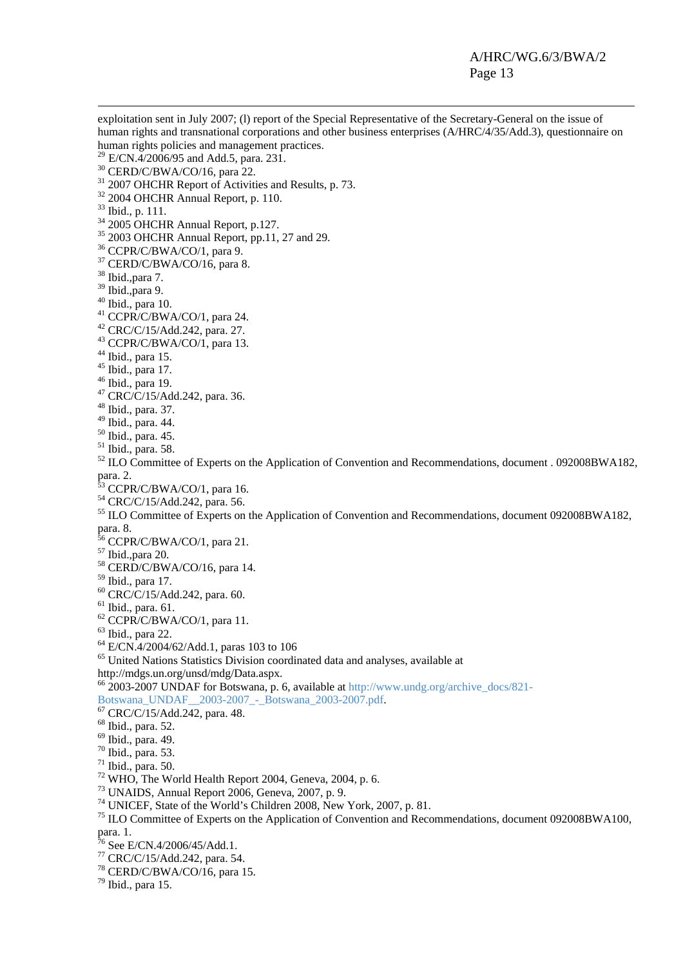exploitation sent in July 2007; (l) report of the Special Representative of the Secretary-General on the issue of human rights and transnational corporations and other business enterprises (A/HRC/4/35/Add.3), questionnaire on human rights policies and management practices.<br><sup>29</sup> E/CN.4/2006/95 and Add.5, para. 231.  $30$  CERD/C/BWA/CO/16, para 22.  $31$  2007 OHCHR Report of Activities and Results, p. 73.  $32$  2004 OHCHR Annual Report, p. 110. 33 Ibid., p. 111.  $34$  2005 OHCHR Annual Report, p.127.  $35$  2003 OHCHR Annual Report, pp.11, 27 and 29. 36 CCPR/C/BWA/CO/1, para 9.  $37$  CERD/C/BWA/CO/16, para 8. 38 Ibid.,para 7. 39 Ibid.,para 9. 40 Ibid., para 10. 41 CCPR/C/BWA/CO/1, para 24. 42 CRC/C/15/Add.242, para. 27. 43 CCPR/C/BWA/CO/1, para 13.  $44$  Ibid., para 15. 45 Ibid., para 17.  $46$  Ibid., para 19. 47 CRC/C/15/Add.242, para. 36. 48 Ibid., para. 37.  $49$  Ibid., para. 44. 50 Ibid., para. 45. 51 Ibid., para. 58.  $52$  ILO Committee of Experts on the Application of Convention and Recommendations, document . 092008BWA182, para. 2. CCPR/C/BWA/CO/1, para 16. 54 CRC/C/15/Add.242, para. 56. <sup>55</sup> ILO Committee of Experts on the Application of Convention and Recommendations, document 092008BWA182, para. 8. <sup>56</sup> CCPR/C/BWA/CO/1, para 21. 57 Ibid.,para 20. 58 CERD/C/BWA/CO/16, para 14. 59 Ibid., para 17. 60 CRC/C/15/Add.242, para. 60.  $<sup>61</sup>$  Ibid., para. 61.</sup>  $62$  CCPR/C/BWA/CO/1, para 11. 63 Ibid., para 22. 64 E/CN.4/2004/62/Add.1, paras 103 to 106  $65$  United Nations Statistics Division coordinated data and analyses, available at http://mdgs.un.org/unsd/mdg/Data.aspx. 66 2003-2007 UNDAF for Botswana, p. 6, available at http://www.undg.org/archive\_docs/821- Botswana\_UNDAF\_\_2003-2007\_-\_Botswana\_2003-2007.pdf. 67 CRC/C/15/Add.242, para. 48. 68 Ibid., para. 52. 69 Ibid., para. 49. 70 Ibid., para. 53. 71 Ibid., para. 50. <sup>72</sup> WHO, The World Health Report 2004, Geneva, 2004, p. 6. 73 UNAIDS, Annual Report 2006, Geneva, 2007, p. 9. 74 UNICEF, State of the World's Children 2008, New York, 2007, p. 81. <sup>75</sup> ILO Committee of Experts on the Application of Convention and Recommendations, document 092008BWA100, para. 1.  $76$  See E/CN.4/2006/45/Add.1. 77 CRC/C/15/Add.242, para. 54. 78 CERD/C/BWA/CO/16, para 15.

 $79$  Ibid., para 15.